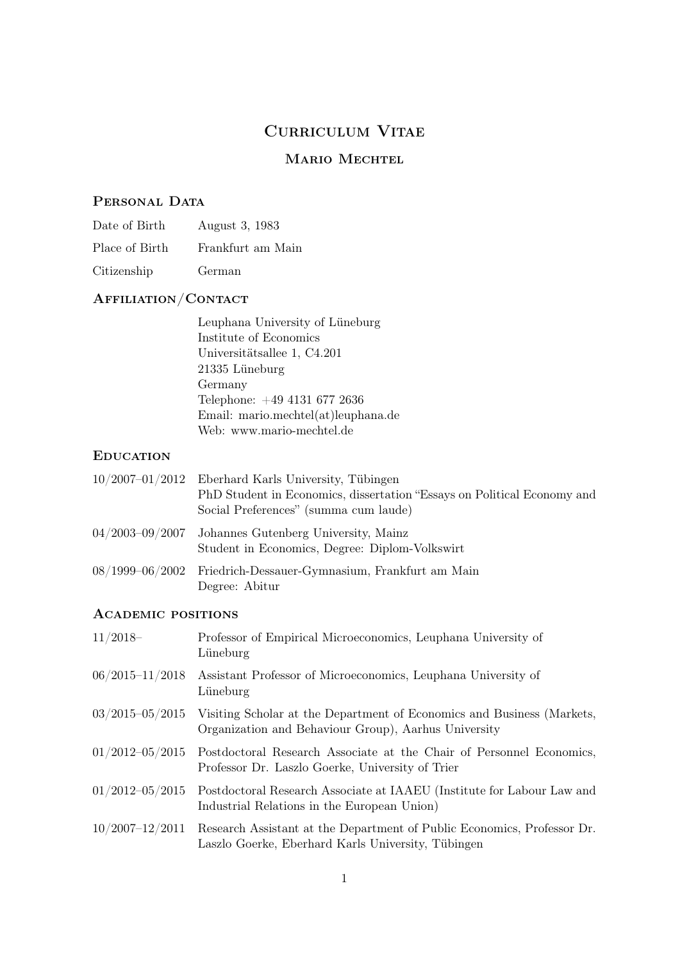## CURRICULUM VITAE

## MARIO MECHTEL

## PERSONAL DATA

| Date of Birth  | August 3, 1983    |
|----------------|-------------------|
| Place of Birth | Frankfurt am Main |
| Citizenship    | German            |

# Affiliation/Contact

| Leuphana University of Lüneburg     |
|-------------------------------------|
| Institute of Economics              |
| Universitätsallee 1, C4.201         |
| 21335 Lüneburg                      |
| Germany                             |
| Telephone: +49 4131 677 2636        |
| Email: mario.mechtel(at)leuphana.de |
| Web: www.mario-mechtel.de           |

## **EDUCATION**

| $10/2007-01/2012$ Eberhard Karls University, Tübingen<br>PhD Student in Economics, dissertation "Essays on Political Economy and<br>Social Preferences" (summa cum laude) |
|---------------------------------------------------------------------------------------------------------------------------------------------------------------------------|
| $04/2003-09/2007$ Johannes Gutenberg University, Mainz<br>Student in Economics, Degree: Diplom-Volkswirt                                                                  |
| 08/1999–06/2002 Friedrich-Dessauer-Gymnasium, Frankfurt am Main<br>Degree: Abitur                                                                                         |

## Academic positions

| $11/2018-$                | Professor of Empirical Microeconomics, Leuphana University of<br>Lüneburg                                                      |
|---------------------------|--------------------------------------------------------------------------------------------------------------------------------|
| $06/2015 - 11/2018$       | Assistant Professor of Microeconomics, Leuphana University of<br>Lüneburg                                                      |
| $03/2015\text{--}05/2015$ | Visiting Scholar at the Department of Economics and Business (Markets,<br>Organization and Behaviour Group), Aarhus University |
| $01/2012 - 05/2015$       | Postdoctoral Research Associate at the Chair of Personnel Economics,<br>Professor Dr. Laszlo Goerke, University of Trier       |
| $01/2012 - 05/2015$       | Postdoctoral Research Associate at IAAEU (Institute for Labour Law and<br>Industrial Relations in the European Union)          |
| $10/2007 - 12/2011$       | Research Assistant at the Department of Public Economics, Professor Dr.<br>Laszlo Goerke, Eberhard Karls University, Tübingen  |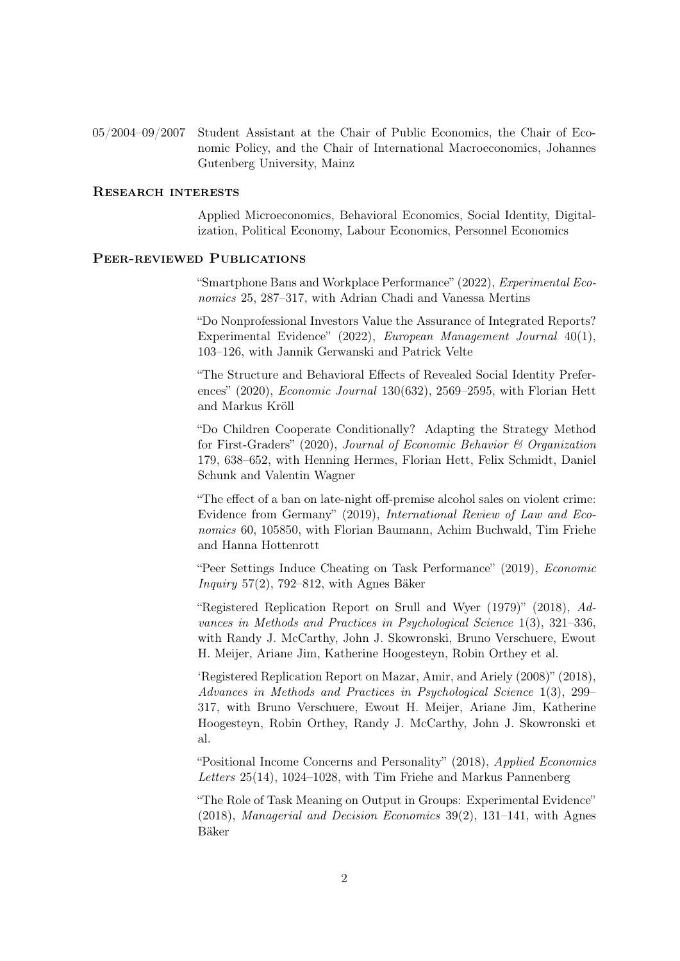05/2004–09/2007 Student Assistant at the Chair of Public Economics, the Chair of Economic Policy, and the Chair of International Macroeconomics, Johannes Gutenberg University, Mainz

#### Research interests

Applied Microeconomics, Behavioral Economics, Social Identity, Digitalization, Political Economy, Labour Economics, Personnel Economics

#### PEER-REVIEWED PUBLICATIONS

"Smartphone Bans and Workplace Performance" (2022), Experimental Economics 25, 287–317, with Adrian Chadi and Vanessa Mertins

"Do Nonprofessional Investors Value the Assurance of Integrated Reports? Experimental Evidence" (2022), European Management Journal 40(1), 103–126, with Jannik Gerwanski and Patrick Velte

"The Structure and Behavioral Effects of Revealed Social Identity Preferences" (2020), Economic Journal 130(632), 2569–2595, with Florian Hett and Markus Kröll

"Do Children Cooperate Conditionally? Adapting the Strategy Method for First-Graders" (2020), Journal of Economic Behavior  $\mathcal B$  Organization 179, 638–652, with Henning Hermes, Florian Hett, Felix Schmidt, Daniel Schunk and Valentin Wagner

"The effect of a ban on late-night off-premise alcohol sales on violent crime: Evidence from Germany" (2019), International Review of Law and Economics 60, 105850, with Florian Baumann, Achim Buchwald, Tim Friehe and Hanna Hottenrott

"Peer Settings Induce Cheating on Task Performance" (2019), Economic Inquiry 57(2), 792–812, with Agnes Bäker

"Registered Replication Report on Srull and Wyer (1979)" (2018), Advances in Methods and Practices in Psychological Science 1(3), 321–336, with Randy J. McCarthy, John J. Skowronski, Bruno Verschuere, Ewout H. Meijer, Ariane Jim, Katherine Hoogesteyn, Robin Orthey et al.

'Registered Replication Report on Mazar, Amir, and Ariely (2008)" (2018), Advances in Methods and Practices in Psychological Science 1(3), 299– 317, with Bruno Verschuere, Ewout H. Meijer, Ariane Jim, Katherine Hoogesteyn, Robin Orthey, Randy J. McCarthy, John J. Skowronski et al.

"Positional Income Concerns and Personality" (2018), Applied Economics Letters 25(14), 1024–1028, with Tim Friehe and Markus Pannenberg

"The Role of Task Meaning on Output in Groups: Experimental Evidence" (2018), Managerial and Decision Economics 39(2), 131–141, with Agnes Bäker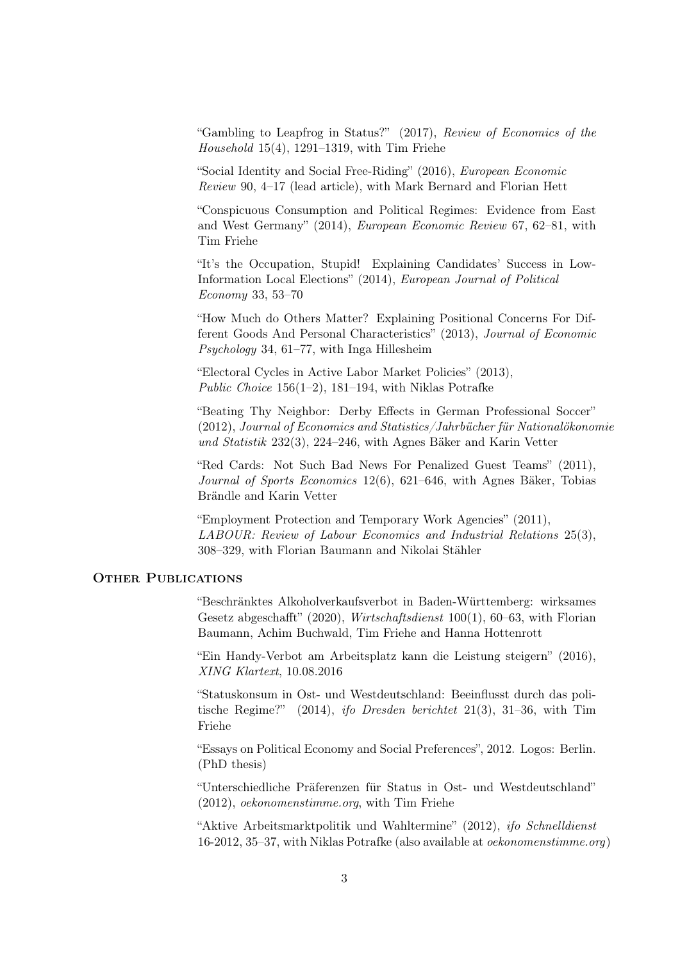"Gambling to Leapfrog in Status?" (2017), Review of Economics of the Household  $15(4)$ ,  $1291-1319$ , with Tim Friehe

"Social Identity and Social Free-Riding" (2016), European Economic Review 90, 4–17 (lead article), with Mark Bernard and Florian Hett

"Conspicuous Consumption and Political Regimes: Evidence from East and West Germany" (2014), European Economic Review 67, 62–81, with Tim Friehe

"It's the Occupation, Stupid! Explaining Candidates' Success in Low-Information Local Elections" (2014), European Journal of Political Economy 33, 53–70

"How Much do Others Matter? Explaining Positional Concerns For Different Goods And Personal Characteristics" (2013), Journal of Economic Psychology 34, 61–77, with Inga Hillesheim

"Electoral Cycles in Active Labor Market Policies" (2013), Public Choice  $156(1-2)$ , 181–194, with Niklas Potrafke

"Beating Thy Neighbor: Derby Effects in German Professional Soccer" (2012), Journal of Economics and Statistics/Jahrbücher für Nationalökonomie und Statistik 232(3), 224–246, with Agnes Bäker and Karin Vetter

"Red Cards: Not Such Bad News For Penalized Guest Teams" (2011), Journal of Sports Economics 12(6), 621–646, with Agnes Bäker, Tobias Brändle and Karin Vetter

"Employment Protection and Temporary Work Agencies" (2011), LABOUR: Review of Labour Economics and Industrial Relations 25(3), 308–329, with Florian Baumann and Nikolai Stähler

#### OTHER PUBLICATIONS

"Beschränktes Alkoholverkaufsverbot in Baden-Württemberg: wirksames Gesetz abgeschafft" (2020), Wirtschaftsdienst 100(1), 60–63, with Florian Baumann, Achim Buchwald, Tim Friehe and Hanna Hottenrott

"Ein Handy-Verbot am Arbeitsplatz kann die Leistung steigern" (2016), XING Klartext, 10.08.2016

"Statuskonsum in Ost- und Westdeutschland: Beeinflusst durch das politische Regime?" (2014), ifo Dresden berichtet 21(3), 31–36, with Tim Friehe

"Essays on Political Economy and Social Preferences", 2012. Logos: Berlin. (PhD thesis)

"Unterschiedliche Präferenzen für Status in Ost- und Westdeutschland" (2012), oekonomenstimme.org, with Tim Friehe

"Aktive Arbeitsmarktpolitik und Wahltermine" (2012), ifo Schnelldienst 16-2012, 35–37, with Niklas Potrafke (also available at oekonomenstimme.org)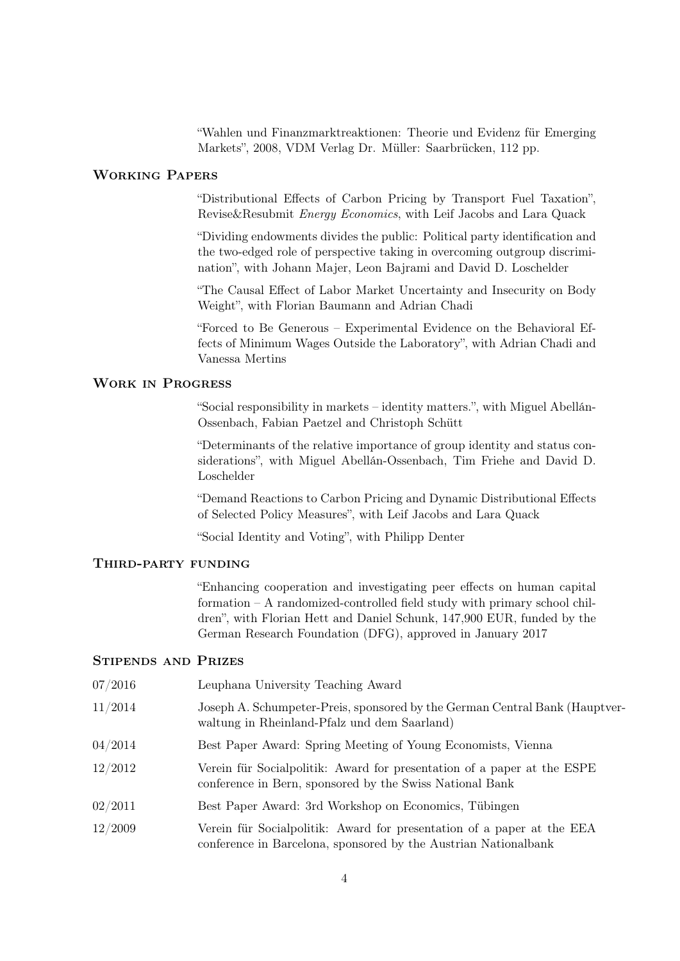"Wahlen und Finanzmarktreaktionen: Theorie und Evidenz für Emerging Markets", 2008, VDM Verlag Dr. Müller: Saarbrücken, 112 pp.

### Working Papers

"Distributional Effects of Carbon Pricing by Transport Fuel Taxation", Revise&Resubmit Energy Economics, with Leif Jacobs and Lara Quack

"Dividing endowments divides the public: Political party identification and the two-edged role of perspective taking in overcoming outgroup discrimination", with Johann Majer, Leon Bajrami and David D. Loschelder

"The Causal Effect of Labor Market Uncertainty and Insecurity on Body Weight", with Florian Baumann and Adrian Chadi

"Forced to Be Generous – Experimental Evidence on the Behavioral Effects of Minimum Wages Outside the Laboratory", with Adrian Chadi and Vanessa Mertins

## Work in Progress

"Social responsibility in markets – identity matters.", with Miguel Abellán-Ossenbach, Fabian Paetzel and Christoph Schütt

"Determinants of the relative importance of group identity and status considerations", with Miguel Abellán-Ossenbach, Tim Friehe and David D. Loschelder

"Demand Reactions to Carbon Pricing and Dynamic Distributional Effects of Selected Policy Measures", with Leif Jacobs and Lara Quack

"Social Identity and Voting", with Philipp Denter

#### Third-party funding

"Enhancing cooperation and investigating peer effects on human capital formation – A randomized-controlled field study with primary school children", with Florian Hett and Daniel Schunk, 147,900 EUR, funded by the German Research Foundation (DFG), approved in January 2017

#### Stipends and Prizes

| 07/2016 | Leuphana University Teaching Award                                                                                                        |
|---------|-------------------------------------------------------------------------------------------------------------------------------------------|
| 11/2014 | Joseph A. Schumpeter-Preis, sponsored by the German Central Bank (Hauptver-<br>waltung in Rheinland-Pfalz und dem Saarland)               |
| 04/2014 | Best Paper Award: Spring Meeting of Young Economists, Vienna                                                                              |
| 12/2012 | Verein für Socialpolitik: Award for presentation of a paper at the ESPE<br>conference in Bern, sponsored by the Swiss National Bank       |
| 02/2011 | Best Paper Award: 3rd Workshop on Economics, Tübingen                                                                                     |
| 12/2009 | Verein für Socialpolitik: Award for presentation of a paper at the EEA<br>conference in Barcelona, sponsored by the Austrian Nationalbank |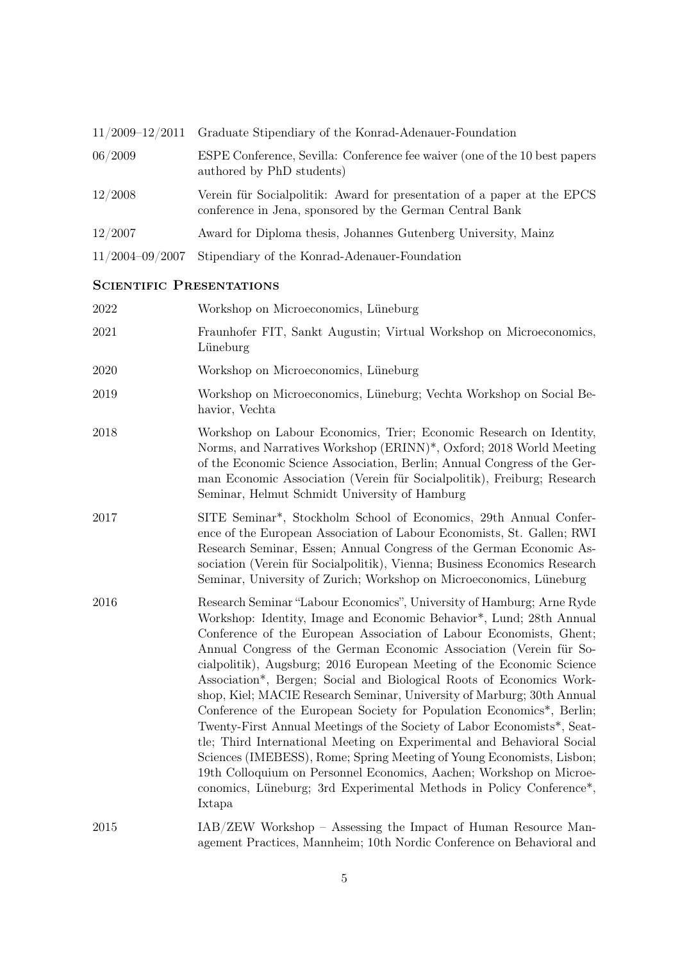|                     | $11/2009-12/2011$ Graduate Stipendiary of the Konrad-Adenauer-Foundation                                                            |
|---------------------|-------------------------------------------------------------------------------------------------------------------------------------|
| 06/2009             | ESPE Conference, Sevilla: Conference fee waiver (one of the 10 best papers)<br>authored by PhD students)                            |
| 12/2008             | Verein für Socialpolitik: Award for presentation of a paper at the EPCS<br>conference in Jena, sponsored by the German Central Bank |
| 12/2007             | Award for Diploma thesis, Johannes Gutenberg University, Mainz                                                                      |
| $11/2004 - 09/2007$ | Stipendiary of the Konrad-Adenauer-Foundation                                                                                       |

## SCIENTIFIC PRESENTATIONS

| 2022 | Workshop on Microeconomics, Lüneburg                                                                                                                                                                                                                                                                                                                                                                                                                                                                                                                                                                                                                                                                                                                                                                                                                                                                                                                                                             |
|------|--------------------------------------------------------------------------------------------------------------------------------------------------------------------------------------------------------------------------------------------------------------------------------------------------------------------------------------------------------------------------------------------------------------------------------------------------------------------------------------------------------------------------------------------------------------------------------------------------------------------------------------------------------------------------------------------------------------------------------------------------------------------------------------------------------------------------------------------------------------------------------------------------------------------------------------------------------------------------------------------------|
| 2021 | Fraunhofer FIT, Sankt Augustin; Virtual Workshop on Microeconomics,<br>Lüneburg                                                                                                                                                                                                                                                                                                                                                                                                                                                                                                                                                                                                                                                                                                                                                                                                                                                                                                                  |
| 2020 | Workshop on Microeconomics, Lüneburg                                                                                                                                                                                                                                                                                                                                                                                                                                                                                                                                                                                                                                                                                                                                                                                                                                                                                                                                                             |
| 2019 | Workshop on Microeconomics, Lüneburg; Vechta Workshop on Social Be-<br>havior, Vechta                                                                                                                                                                                                                                                                                                                                                                                                                                                                                                                                                                                                                                                                                                                                                                                                                                                                                                            |
| 2018 | Workshop on Labour Economics, Trier; Economic Research on Identity,<br>Norms, and Narratives Workshop (ERINN)*, Oxford; 2018 World Meeting<br>of the Economic Science Association, Berlin; Annual Congress of the Ger-<br>man Economic Association (Verein für Socialpolitik), Freiburg; Research<br>Seminar, Helmut Schmidt University of Hamburg                                                                                                                                                                                                                                                                                                                                                                                                                                                                                                                                                                                                                                               |
| 2017 | SITE Seminar <sup>*</sup> , Stockholm School of Economics, 29th Annual Confer-<br>ence of the European Association of Labour Economists, St. Gallen; RWI<br>Research Seminar, Essen; Annual Congress of the German Economic As-<br>sociation (Verein für Socialpolitik), Vienna; Business Economics Research<br>Seminar, University of Zurich; Workshop on Microeconomics, Lüneburg                                                                                                                                                                                                                                                                                                                                                                                                                                                                                                                                                                                                              |
| 2016 | Research Seminar "Labour Economics", University of Hamburg; Arne Ryde<br>Workshop: Identity, Image and Economic Behavior*, Lund; 28th Annual<br>Conference of the European Association of Labour Economists, Ghent;<br>Annual Congress of the German Economic Association (Verein für So-<br>cialpolitik), Augsburg; 2016 European Meeting of the Economic Science<br>Association*, Bergen; Social and Biological Roots of Economics Work-<br>shop, Kiel; MACIE Research Seminar, University of Marburg; 30th Annual<br>Conference of the European Society for Population Economics <sup>*</sup> , Berlin;<br>Twenty-First Annual Meetings of the Society of Labor Economists*, Seat-<br>tle; Third International Meeting on Experimental and Behavioral Social<br>Sciences (IMEBESS), Rome; Spring Meeting of Young Economists, Lisbon;<br>19th Colloquium on Personnel Economics, Aachen; Workshop on Microe-<br>conomics, Lüneburg; 3rd Experimental Methods in Policy Conference*,<br>Ixtapa |
| 2015 | IAB/ZEW Workshop - Assessing the Impact of Human Resource Man-<br>agement Practices, Mannheim; 10th Nordic Conference on Behavioral and                                                                                                                                                                                                                                                                                                                                                                                                                                                                                                                                                                                                                                                                                                                                                                                                                                                          |

5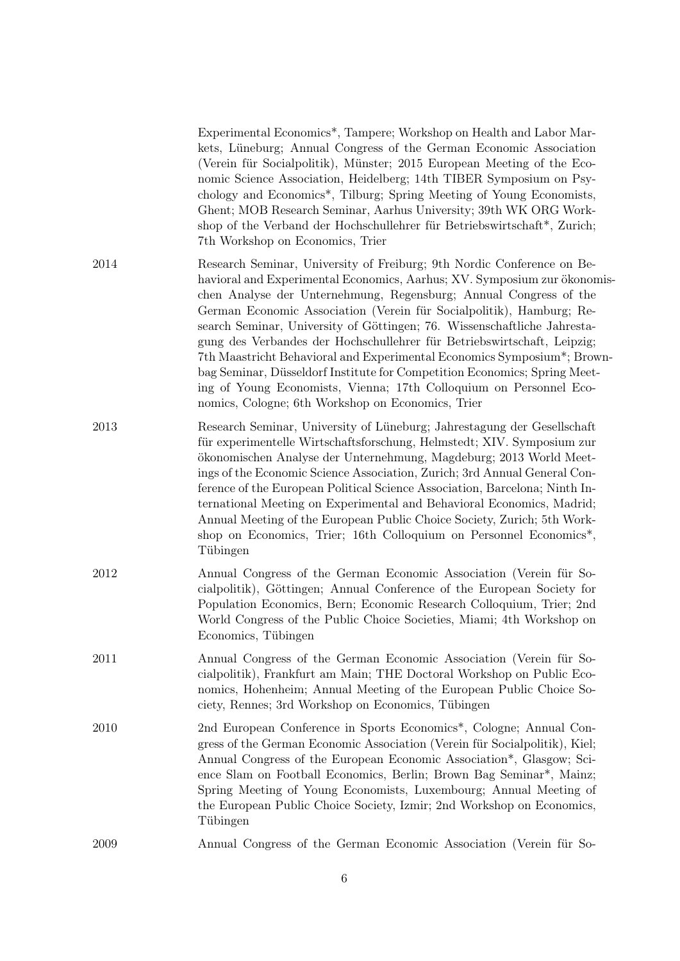|      | Experimental Economics*, Tampere; Workshop on Health and Labor Mar-<br>kets, Lüneburg; Annual Congress of the German Economic Association<br>(Verein für Socialpolitik), Münster; 2015 European Meeting of the Eco-<br>nomic Science Association, Heidelberg; 14th TIBER Symposium on Psy-<br>chology and Economics <sup>*</sup> , Tilburg; Spring Meeting of Young Economists,<br>Ghent; MOB Research Seminar, Aarhus University; 39th WK ORG Work-<br>shop of the Verband der Hochschullehrer für Betriebswirtschaft*, Zurich;<br>7th Workshop on Economics, Trier                                                                                                                                                                      |
|------|-------------------------------------------------------------------------------------------------------------------------------------------------------------------------------------------------------------------------------------------------------------------------------------------------------------------------------------------------------------------------------------------------------------------------------------------------------------------------------------------------------------------------------------------------------------------------------------------------------------------------------------------------------------------------------------------------------------------------------------------|
| 2014 | Research Seminar, University of Freiburg; 9th Nordic Conference on Be-<br>havioral and Experimental Economics, Aarhus; XV. Symposium zur ökonomis-<br>chen Analyse der Unternehmung, Regensburg; Annual Congress of the<br>German Economic Association (Verein für Socialpolitik), Hamburg; Re-<br>search Seminar, University of Göttingen; 76. Wissenschaftliche Jahresta-<br>gung des Verbandes der Hochschullehrer für Betriebswirtschaft, Leipzig;<br>7th Maastricht Behavioral and Experimental Economics Symposium*; Brown-<br>bag Seminar, Düsseldorf Institute for Competition Economics; Spring Meet-<br>ing of Young Economists, Vienna; 17th Colloquium on Personnel Eco-<br>nomics, Cologne; 6th Workshop on Economics, Trier |
| 2013 | Research Seminar, University of Lüneburg; Jahrestagung der Gesellschaft<br>für experimentelle Wirtschaftsforschung, Helmstedt; XIV. Symposium zur<br>ökonomischen Analyse der Unternehmung, Magdeburg; 2013 World Meet-<br>ings of the Economic Science Association, Zurich; 3rd Annual General Con-<br>ference of the European Political Science Association, Barcelona; Ninth In-<br>ternational Meeting on Experimental and Behavioral Economics, Madrid;<br>Annual Meeting of the European Public Choice Society, Zurich; 5th Work-<br>shop on Economics, Trier; 16th Colloquium on Personnel Economics <sup>*</sup> ,<br>Tübingen                                                                                                    |
| 2012 | Annual Congress of the German Economic Association (Verein für So-<br>cialpolitik), Göttingen; Annual Conference of the European Society for<br>Population Economics, Bern; Economic Research Colloquium, Trier; 2nd<br>World Congress of the Public Choice Societies, Miami; 4th Workshop on<br>Economics, Tübingen                                                                                                                                                                                                                                                                                                                                                                                                                      |
| 2011 | Annual Congress of the German Economic Association (Verein für So-<br>cialpolitik), Frankfurt am Main; THE Doctoral Workshop on Public Eco-<br>nomics, Hohenheim; Annual Meeting of the European Public Choice So-<br>ciety, Rennes; 3rd Workshop on Economics, Tübingen                                                                                                                                                                                                                                                                                                                                                                                                                                                                  |
| 2010 | 2nd European Conference in Sports Economics <sup>*</sup> , Cologne; Annual Con-<br>gress of the German Economic Association (Verein für Socialpolitik), Kiel;<br>Annual Congress of the European Economic Association*, Glasgow; Sci-<br>ence Slam on Football Economics, Berlin; Brown Bag Seminar <sup>*</sup> , Mainz;<br>Spring Meeting of Young Economists, Luxembourg; Annual Meeting of<br>the European Public Choice Society, Izmir; 2nd Workshop on Economics,<br>Tübingen                                                                                                                                                                                                                                                       |
| 2009 | Annual Congress of the German Economic Association (Verein für So-                                                                                                                                                                                                                                                                                                                                                                                                                                                                                                                                                                                                                                                                        |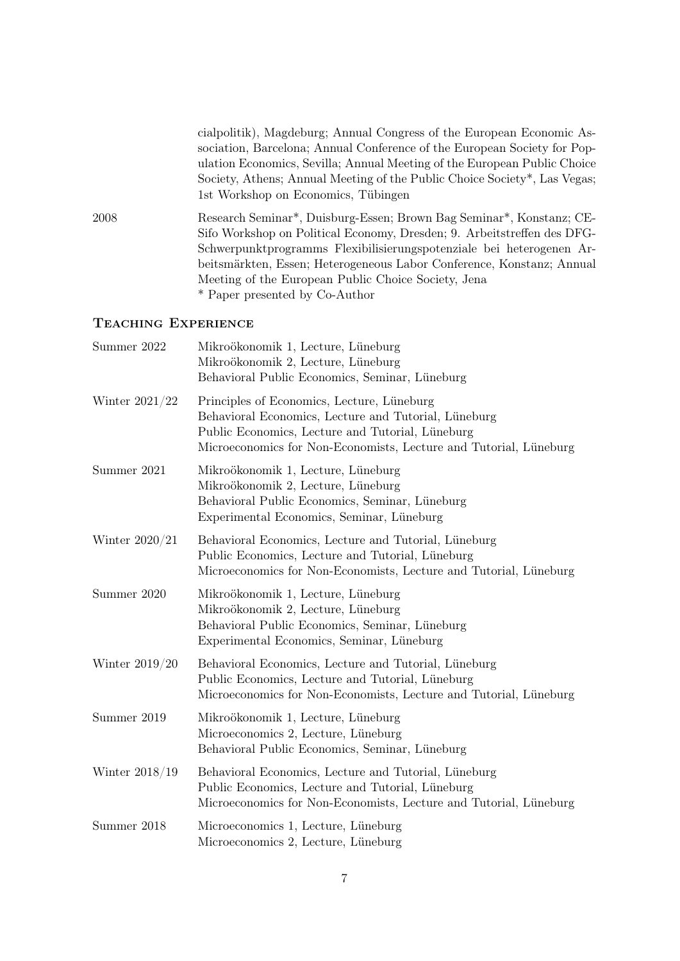cialpolitik), Magdeburg; Annual Congress of the European Economic Association, Barcelona; Annual Conference of the European Society for Population Economics, Sevilla; Annual Meeting of the European Public Choice Society, Athens; Annual Meeting of the Public Choice Society\*, Las Vegas; 1st Workshop on Economics, Tübingen

2008 Research Seminar\*, Duisburg-Essen; Brown Bag Seminar\*, Konstanz; CE-Sifo Workshop on Political Economy, Dresden; 9. Arbeitstreffen des DFG-Schwerpunktprogramms Flexibilisierungspotenziale bei heterogenen Arbeitsmärkten, Essen; Heterogeneous Labor Conference, Konstanz; Annual Meeting of the European Public Choice Society, Jena \* Paper presented by Co-Author

#### Teaching Experience

| Summer 2022      | Mikroökonomik 1, Lecture, Lüneburg<br>Mikroökonomik 2, Lecture, Lüneburg<br>Behavioral Public Economics, Seminar, Lüneburg                                                                                                  |
|------------------|-----------------------------------------------------------------------------------------------------------------------------------------------------------------------------------------------------------------------------|
| Winter $2021/22$ | Principles of Economics, Lecture, Lüneburg<br>Behavioral Economics, Lecture and Tutorial, Lüneburg<br>Public Economics, Lecture and Tutorial, Lüneburg<br>Microeconomics for Non-Economists, Lecture and Tutorial, Lüneburg |
| Summer 2021      | Mikroökonomik 1, Lecture, Lüneburg<br>Mikroökonomik 2, Lecture, Lüneburg<br>Behavioral Public Economics, Seminar, Lüneburg<br>Experimental Economics, Seminar, Lüneburg                                                     |
| Winter $2020/21$ | Behavioral Economics, Lecture and Tutorial, Lüneburg<br>Public Economics, Lecture and Tutorial, Lüneburg<br>Microeconomics for Non-Economists, Lecture and Tutorial, Lüneburg                                               |
| Summer 2020      | Mikroökonomik 1, Lecture, Lüneburg<br>Mikroökonomik 2, Lecture, Lüneburg<br>Behavioral Public Economics, Seminar, Lüneburg<br>Experimental Economics, Seminar, Lüneburg                                                     |
| Winter $2019/20$ | Behavioral Economics, Lecture and Tutorial, Lüneburg<br>Public Economics, Lecture and Tutorial, Lüneburg<br>Microeconomics for Non-Economists, Lecture and Tutorial, Lüneburg                                               |
| Summer 2019      | Mikroökonomik 1, Lecture, Lüneburg<br>Microeconomics 2, Lecture, Lüneburg<br>Behavioral Public Economics, Seminar, Lüneburg                                                                                                 |
| Winter $2018/19$ | Behavioral Economics, Lecture and Tutorial, Lüneburg<br>Public Economics, Lecture and Tutorial, Lüneburg<br>Microeconomics for Non-Economists, Lecture and Tutorial, Lüneburg                                               |
| Summer 2018      | Microeconomics 1, Lecture, Lüneburg<br>Microeconomics 2, Lecture, Lüneburg                                                                                                                                                  |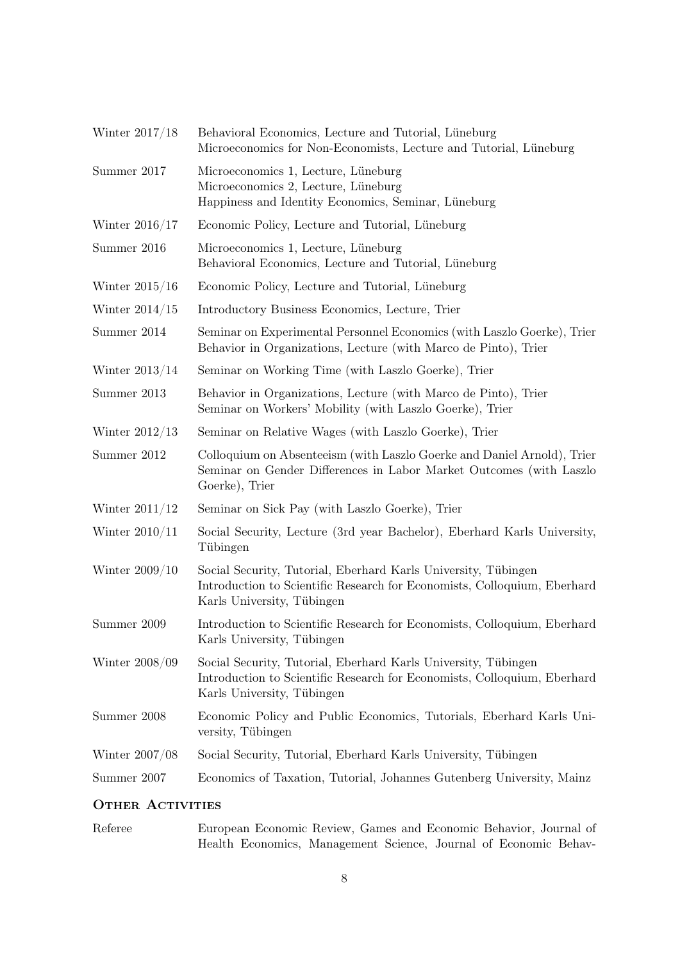| Winter 2017/18   | Behavioral Economics, Lecture and Tutorial, Lüneburg<br>Microeconomics for Non-Economists, Lecture and Tutorial, Lüneburg                                                |
|------------------|--------------------------------------------------------------------------------------------------------------------------------------------------------------------------|
| Summer 2017      | Microeconomics 1, Lecture, Lüneburg<br>Microeconomics 2, Lecture, Lüneburg<br>Happiness and Identity Economics, Seminar, Lüneburg                                        |
| Winter $2016/17$ | Economic Policy, Lecture and Tutorial, Lüneburg                                                                                                                          |
| Summer 2016      | Microeconomics 1, Lecture, Lüneburg<br>Behavioral Economics, Lecture and Tutorial, Lüneburg                                                                              |
| Winter $2015/16$ | Economic Policy, Lecture and Tutorial, Lüneburg                                                                                                                          |
| Winter $2014/15$ | Introductory Business Economics, Lecture, Trier                                                                                                                          |
| Summer 2014      | Seminar on Experimental Personnel Economics (with Laszlo Goerke), Trier<br>Behavior in Organizations, Lecture (with Marco de Pinto), Trier                               |
| Winter $2013/14$ | Seminar on Working Time (with Laszlo Goerke), Trier                                                                                                                      |
| Summer 2013      | Behavior in Organizations, Lecture (with Marco de Pinto), Trier<br>Seminar on Workers' Mobility (with Laszlo Goerke), Trier                                              |
| Winter $2012/13$ | Seminar on Relative Wages (with Laszlo Goerke), Trier                                                                                                                    |
| Summer 2012      | Colloquium on Absenteeism (with Laszlo Goerke and Daniel Arnold), Trier<br>Seminar on Gender Differences in Labor Market Outcomes (with Laszlo<br>Goerke), Trier         |
| Winter $2011/12$ | Seminar on Sick Pay (with Laszlo Goerke), Trier                                                                                                                          |
| Winter $2010/11$ | Social Security, Lecture (3rd year Bachelor), Eberhard Karls University,<br>Tübingen                                                                                     |
| Winter $2009/10$ | Social Security, Tutorial, Eberhard Karls University, Tübingen<br>Introduction to Scientific Research for Economists, Colloquium, Eberhard<br>Karls University, Tübingen |
| Summer 2009      | Introduction to Scientific Research for Economists, Colloquium, Eberhard<br>Karls University, Tübingen                                                                   |
| Winter 2008/09   | Social Security, Tutorial, Eberhard Karls University, Tübingen<br>Introduction to Scientific Research for Economists, Colloquium, Eberhard<br>Karls University, Tübingen |
| Summer 2008      | Economic Policy and Public Economics, Tutorials, Eberhard Karls Uni-<br>versity, Tübingen                                                                                |
| Winter 2007/08   | Social Security, Tutorial, Eberhard Karls University, Tübingen                                                                                                           |
| Summer 2007      | Economics of Taxation, Tutorial, Johannes Gutenberg University, Mainz                                                                                                    |
|                  |                                                                                                                                                                          |

## OTHER ACTIVITIES

Referee European Economic Review, Games and Economic Behavior, Journal of Health Economics, Management Science, Journal of Economic Behav